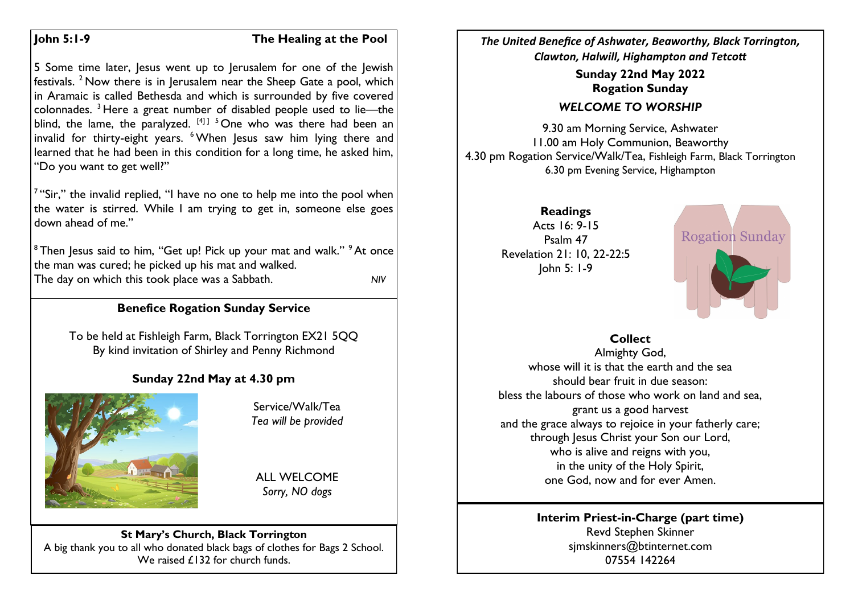#### **John 5:1-9 The Healing at the Pool**

5 Some time later, Jesus went up to Jerusalem for one of the Jewish festivals. <sup>2</sup> Now there is in Jerusalem near the Sheep Gate a pool, which in Aramaic is called Bethesda and which is surrounded by five covered colonnades. <sup>3</sup> Here a great number of disabled people used to lie—the blind, the lame, the paralyzed.  $[4]$ <sup>1</sup> <sup>5</sup> One who was there had been an invalid for thirty-eight years.  $6$  When Jesus saw him lying there and learned that he had been in this condition for a long time, he asked him, "Do you want to get well?"

 $7$  "Sir," the invalid replied, "I have no one to help me into the pool when the water is stirred. While I am trying to get in, someone else goes down ahead of me."

<sup>8</sup> Then Jesus said to him, "Get up! Pick up your mat and walk." <sup>9</sup> At once the man was cured; he picked up his mat and walked. The day on which this took place was a Sabbath. *NIV*

# **Benefice Rogation Sunday Service**

To be held at Fishleigh Farm, Black Torrington EX21 5QQ By kind invitation of Shirley and Penny Richmond

# **Sunday 22nd May at 4.30 pm**



Service/Walk/Tea *Tea will be provided*

ALL WELCOME *Sorry, NO dogs*

#### **St Mary's Church, Black Torrington** A big thank you to all who donated black bags of clothes for Bags 2 School. We raised £132 for church funds.

*The United Benefice of Ashwater, Beaworthy, Black Torrington, Clawton, Halwill, Highampton and Tetcott*

> **Sunday 22nd May 2022 Rogation Sunday**

# *WELCOME TO WORSHIP*

9.30 am Morning Service, Ashwater 11.00 am Holy Communion, Beaworthy 4.30 pm Rogation Service/Walk/Tea, Fishleigh Farm, Black Torrington 6.30 pm Evening Service, Highampton

> **Readings** Acts 16: 9-15 Psalm 47 Revelation 21: 10, 22-22:5 John 5: 1-9



#### **Collect**

Almighty God, whose will it is that the earth and the sea should bear fruit in due season: bless the labours of those who work on land and sea, grant us a good harvest and the grace always to rejoice in your fatherly care; through Jesus Christ your Son our Lord, who is alive and reigns with you, in the unity of the Holy Spirit, one God, now and for ever Amen.

#### **Interim Priest-in-Charge (part time)** Revd Stephen Skinner [sjmskinners@btinternet.com](mailto:sjmskinners@btinternet.com) 07554 142264